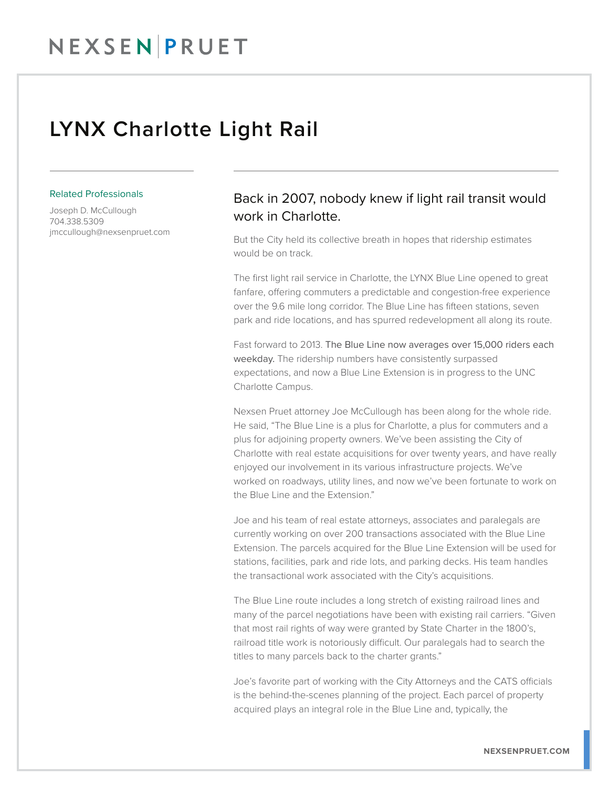## NEXSENPRUET

### LYNX Charlotte Light Rail

#### Related Professionals

Joseph D. McCullough 704.338.5309 jmccullough@nexsenpruet.com

### Back in 2007, nobody knew if light rail transit would work in Charlotte.

But the City held its collective breath in hopes that ridership estimates would be on track.

The first light rail service in Charlotte, the LYNX Blue Line opened to great fanfare, offering commuters a predictable and congestion-free experience over the 9.6 mile long corridor. The Blue Line has fifteen stations, seven park and ride locations, and has spurred redevelopment all along its route.

Fast forward to 2013. The Blue Line now averages over 15,000 riders each weekday. The ridership numbers have consistently surpassed expectations, and now a Blue Line Extension is in progress to the UNC Charlotte Campus.

Nexsen Pruet attorney Joe McCullough has been along for the whole ride. He said, "The Blue Line is a plus for Charlotte, a plus for commuters and a plus for adjoining property owners. We've been assisting the City of Charlotte with real estate acquisitions for over twenty years, and have really enjoyed our involvement in its various infrastructure projects. We've worked on roadways, utility lines, and now we've been fortunate to work on the Blue Line and the Extension."

Joe and his team of real estate attorneys, associates and paralegals are currently working on over 200 transactions associated with the Blue Line Extension. The parcels acquired for the Blue Line Extension will be used for stations, facilities, park and ride lots, and parking decks. His team handles the transactional work associated with the City's acquisitions.

The Blue Line route includes a long stretch of existing railroad lines and many of the parcel negotiations have been with existing rail carriers. "Given that most rail rights of way were granted by State Charter in the 1800's, railroad title work is notoriously difficult. Our paralegals had to search the titles to many parcels back to the charter grants."

Joe's favorite part of working with the City Attorneys and the CATS officials is the behind-the-scenes planning of the project. Each parcel of property acquired plays an integral role in the Blue Line and, typically, the